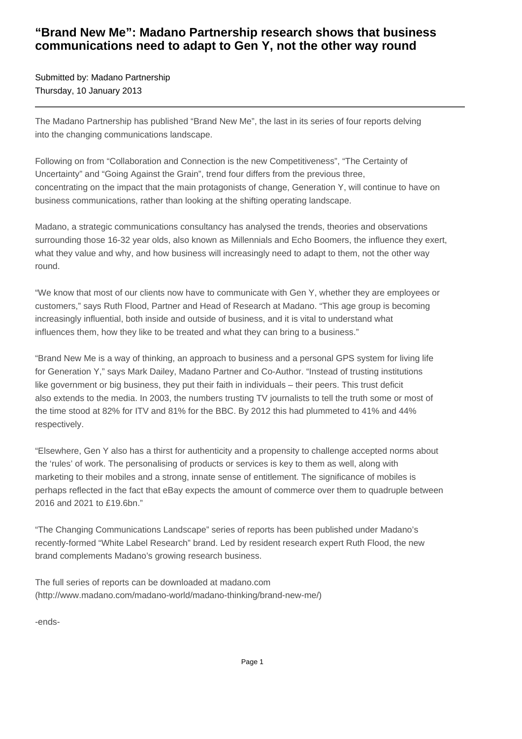## **"Brand New Me": Madano Partnership research shows that business communications need to adapt to Gen Y, not the other way round**

Submitted by: Madano Partnership Thursday, 10 January 2013

The Madano Partnership has published "Brand New Me", the last in its series of four reports delving into the changing communications landscape.

Following on from "Collaboration and Connection is the new Competitiveness", "The Certainty of Uncertainty" and "Going Against the Grain", trend four differs from the previous three, concentrating on the impact that the main protagonists of change, Generation Y, will continue to have on business communications, rather than looking at the shifting operating landscape.

Madano, a strategic communications consultancy has analysed the trends, theories and observations surrounding those 16-32 year olds, also known as Millennials and Echo Boomers, the influence they exert, what they value and why, and how business will increasingly need to adapt to them, not the other way round.

"We know that most of our clients now have to communicate with Gen Y, whether they are employees or customers," says Ruth Flood, Partner and Head of Research at Madano. "This age group is becoming increasingly influential, both inside and outside of business, and it is vital to understand what influences them, how they like to be treated and what they can bring to a business."

"Brand New Me is a way of thinking, an approach to business and a personal GPS system for living life for Generation Y," says Mark Dailey, Madano Partner and Co-Author. "Instead of trusting institutions like government or big business, they put their faith in individuals – their peers. This trust deficit also extends to the media. In 2003, the numbers trusting TV journalists to tell the truth some or most of the time stood at 82% for ITV and 81% for the BBC. By 2012 this had plummeted to 41% and 44% respectively.

"Elsewhere, Gen Y also has a thirst for authenticity and a propensity to challenge accepted norms about the 'rules' of work. The personalising of products or services is key to them as well, along with marketing to their mobiles and a strong, innate sense of entitlement. The significance of mobiles is perhaps reflected in the fact that eBay expects the amount of commerce over them to quadruple between 2016 and 2021 to £19.6bn."

"The Changing Communications Landscape" series of reports has been published under Madano's recently-formed "White Label Research" brand. Led by resident research expert Ruth Flood, the new brand complements Madano's growing research business.

The full series of reports can be downloaded at madano.com (http://www.madano.com/madano-world/madano-thinking/brand-new-me/)

-ends-